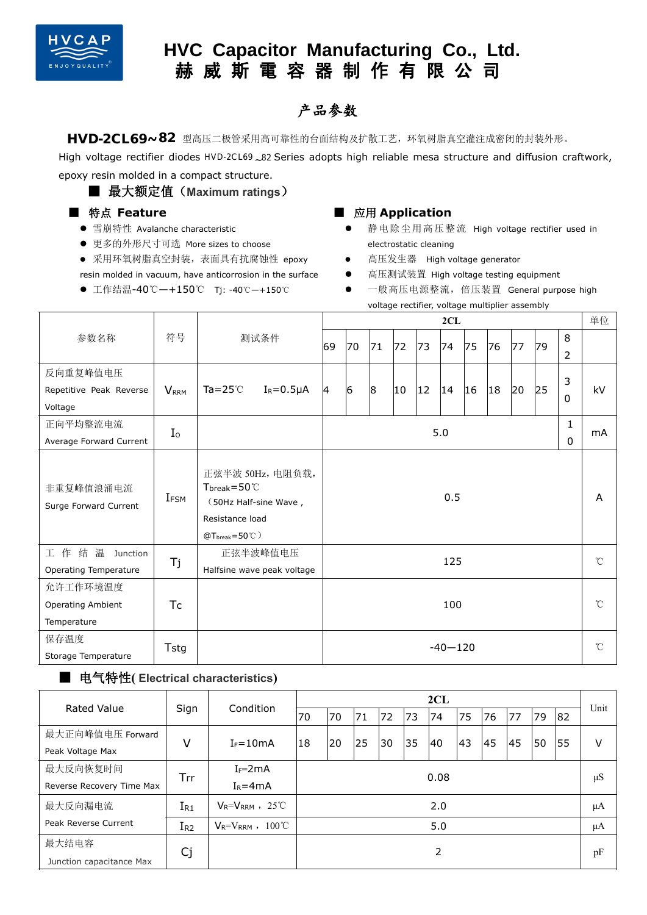

# **HVC Capacitor Manufacturing Co., Ltd. 赫 威 斯 電 容 器 制 作 有 限 公 司**

### 产品参数

HVD-2CL69~82 型高压二极管采用高可靠性的台面结构及扩散工艺,环氧树脂真空灌注成密闭的封装外形。

High voltage rectifier diodes HVD-2CL69 $_{\sim}$ 82 Series adopts high reliable mesa structure and diffusion craftwork, epoxy resin molded in a compact structure.

### ■ 最大额定值 (Maximum ratings)

#### ■ 特点 **Feature**

- 雪崩特性 Avalanche characteristic
- 更多的外形尺寸可选 More sizes to choose
- 采用环氧树脂真空封装,表面具有抗腐蚀性 epoxy resin molded in vacuum, have anticorrosion in the surface
- 工作结温-40℃—+150℃ Tj: -40℃—+150℃

#### ■ 应用 **Application**

- 静电除尘用高压整流 High voltage rectifier used in electrostatic cleaning
- 高压发生器 High voltage generator
- 高压测试装置 High voltage testing equipment
- 一般高压电源整流, 倍压装置 General purpose high voltage rectifier, voltage multiplier assembly

|                                                     |                         |                                                                                                                      |                  |          | 单位          |    |              |    |              |              |    |    |    |                     |             |  |
|-----------------------------------------------------|-------------------------|----------------------------------------------------------------------------------------------------------------------|------------------|----------|-------------|----|--------------|----|--------------|--------------|----|----|----|---------------------|-------------|--|
| 参数名称                                                | 符号                      |                                                                                                                      | 测试条件             | 69       | 70          | 71 | 72           | 73 | 74           | 75           | 76 | 77 | 79 | 8<br>$\overline{2}$ |             |  |
| 反向重复峰值电压                                            |                         |                                                                                                                      |                  |          |             |    |              |    |              |              |    |    |    | 3                   |             |  |
| Repetitive Peak Reverse                             | <b>V</b> <sub>RRM</sub> | Ta= $25^\circ$ C                                                                                                     | $I_R = 0.5\mu A$ | 14       | $ 6\rangle$ | 8  | $ 10\rangle$ | 12 | $ 14\rangle$ | $ 16\rangle$ | 18 | 20 | 25 | 0                   | kV          |  |
| Voltage                                             |                         |                                                                                                                      |                  |          |             |    |              |    |              |              |    |    |    |                     |             |  |
| 正向平均整流电流                                            | I <sub>o</sub>          |                                                                                                                      |                  | 1<br>5.0 |             |    |              |    |              |              |    |    |    |                     | mA          |  |
| Average Forward Current                             |                         |                                                                                                                      |                  |          | 0           |    |              |    |              |              |    |    |    |                     |             |  |
| 非重复峰值浪涌电流<br>Surge Forward Current                  | $I_{\mathsf{FSM}}$      | 正弦半波 50Hz, 电阻负载,<br>$T_{break}=50^{\circ}$<br>(50Hz Half-sine Wave,<br>Resistance load<br>$@T_{break}=50^{\circ}$ C) |                  |          | 0.5         |    |              |    |              |              |    |    |    |                     |             |  |
| 工作结温 Junction<br><b>Operating Temperature</b>       | Tj                      | 正弦半波峰值电压<br>Halfsine wave peak voltage                                                                               |                  |          | 125         |    |              |    |              |              |    |    |    |                     |             |  |
| 允许工作环境温度<br><b>Operating Ambient</b><br>Temperature | <b>Tc</b>               |                                                                                                                      |                  |          | 100         |    |              |    |              |              |    |    |    |                     |             |  |
| 保存温度<br>Storage Temperature                         | Tstg                    |                                                                                                                      |                  |          | $-40 - 120$ |    |              |    |              |              |    |    |    |                     | $^{\circ}C$ |  |

### ■ 电气特性**( Electrical characteristics)**

| <b>Rated Value</b>        |                                           | Condition               | 2CL  |    |    |    |    |     |    |     |    |    |    |         |  |
|---------------------------|-------------------------------------------|-------------------------|------|----|----|----|----|-----|----|-----|----|----|----|---------|--|
|                           | Sign                                      |                         | 70   | 70 | 71 | 72 | 73 | 74  | 75 | 176 | 77 | 79 | 82 | Unit    |  |
| 最大正向峰值电压 Forward          | V                                         | $I_F = 10mA$            | 18   | 20 | 25 | 30 | 35 | 140 | 43 | 45  | 45 | 50 | 55 | v       |  |
| Peak Voltage Max          |                                           |                         |      |    |    |    |    |     |    |     |    |    |    |         |  |
| 最大反向恢复时间                  | Trr                                       | $I_F = 2mA$             | 0.08 |    |    |    |    |     |    |     |    |    |    |         |  |
| Reverse Recovery Time Max |                                           | $I_R = 4mA$             |      |    |    |    |    |     |    |     |    |    |    | $\mu S$ |  |
| 最大反向漏电流                   | $V_R = V_{RRM}$ , 25°C<br>1 <sub>R1</sub> |                         | 2.0  |    |    |    |    |     |    |     |    |    |    |         |  |
| Peak Reverse Current      | $I_{R2}$                                  | $V_R = V_{RRM}$ , 100°C | 5.0  |    |    |    |    |     |    |     |    | μA |    |         |  |
| 最大结电容                     | Cj                                        |                         |      |    |    |    |    | 2   |    |     |    |    |    | pF      |  |
| Junction capacitance Max  |                                           |                         |      |    |    |    |    |     |    |     |    |    |    |         |  |